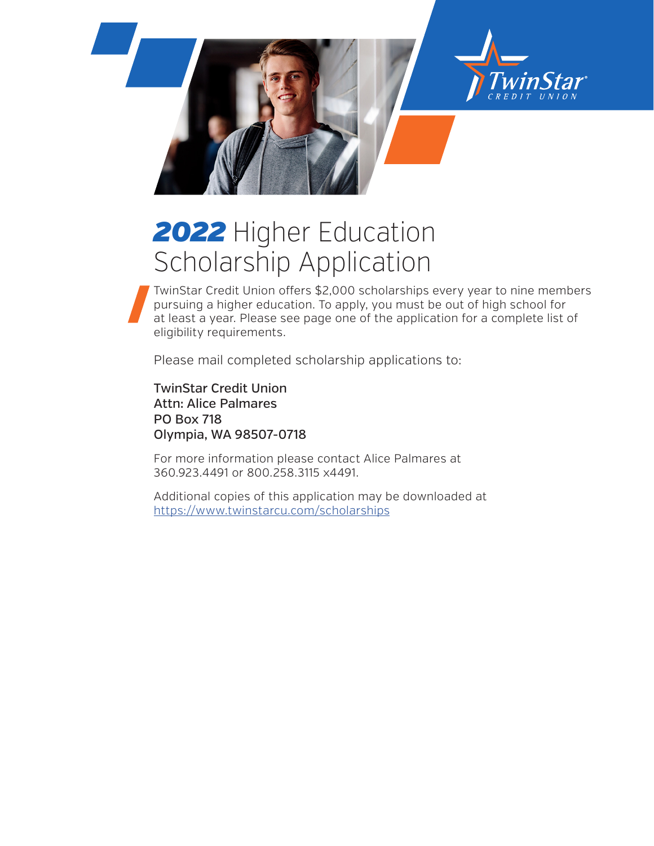

# *2022* Higher Education Scholarship Application

TwinStar Credit Union offers \$2,000 scholarships every year to nine members pursuing a higher education. To apply, you must be out of high school for at least a year. Please see page one of the application for a complete list of eligibility requirements.

Please mail completed scholarship applications to:

TwinStar Credit Union Attn: Alice Palmares PO Box 718 Olympia, WA 98507-0718

For more information please contact Alice Palmares at 360.923.4491 or 800.258.3115 x4491.

Additional copies of this application may be downloaded at https://www.twinstarcu.com/scholarships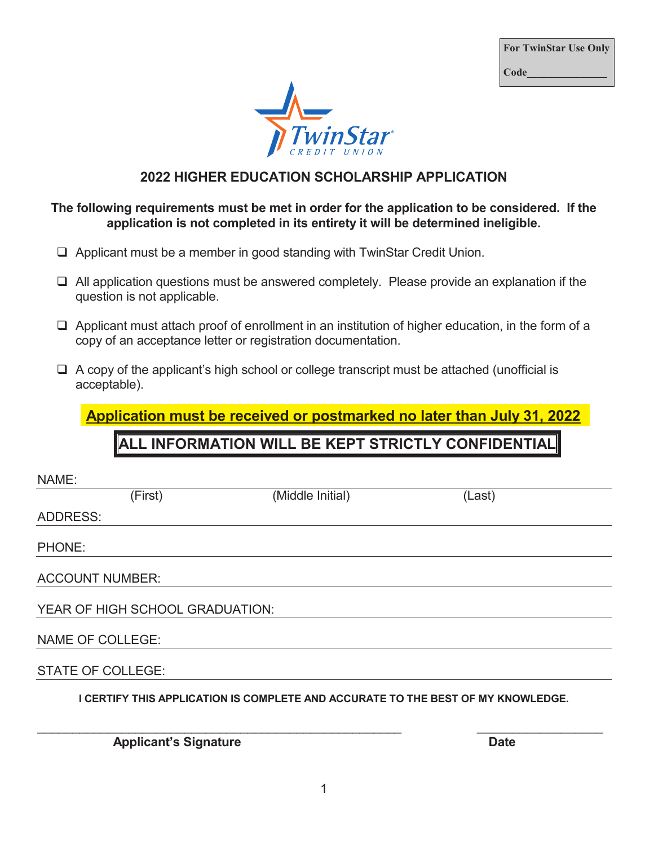**For TwinStar Use Only For TwinStar Use Only Code\_\_\_\_\_\_\_\_\_\_\_\_\_\_\_ Code\_\_\_\_\_\_\_\_\_\_\_\_\_\_\_** 



### **2022 HIGHER EDUCATION SCHOLARSHIP APPLICATION 2021 HIGHER EDUCATION SCHOLARSHIP APPLICATION**

#### **The following requirements must be met in order for the application to be considered. If the The following requirements must be met in order for the application to be considered. If the application is not completed in its entirety it will be determined ineligible. application is not completed in its entirety it will be determined ineligible.**

- Applicant must be a member in good standing with TwinStar Credit Union. Applicant must be a member in good standing with TwinStar Credit Union.
- All application questions must be answered completely. Please provide an explanation if the All application questions must be answered completely. Please provide an explanation if the question is not applicable. question is not applicable.
- □ Applicant must attach proof of enrollment in an institution of higher education, in the form of a copy of an acceptance letter or registration documentation. copy of an acceptance letter or registration documentation.
- A copy of the applicant's high school or college transcript must be attached (unofficial is A copy of the applicant's high school or college transcript must be attached (unofficial is acceptable). acceptable).

**Application must be received or postmarked no later than July 31, 2022 Application must be received or postmarked no later than July 31, 2021** 

## **ALL INFORMATION WILL BE KEPT STRICTLY CONFIDENTIAL ALL INFORMATION WILL BE KEPT STRICTLY CONFIDENTIAL**

| NAME:                           |         |                                                                                  |        |
|---------------------------------|---------|----------------------------------------------------------------------------------|--------|
|                                 | (First) | (Middle Initial)                                                                 | (Last) |
| <b>ADDRESS:</b>                 |         |                                                                                  |        |
| PHONE:                          |         |                                                                                  |        |
| <b>ACCOUNT NUMBER:</b>          |         |                                                                                  |        |
| YEAR OF HIGH SCHOOL GRADUATION: |         |                                                                                  |        |
| <b>NAME OF COLLEGE:</b>         |         |                                                                                  |        |
| <b>STATE OF COLLEGE:</b>        |         |                                                                                  |        |
|                                 |         | I CERTIFY THIS APPLICATION IS COMPLETE AND ACCURATE TO THE BEST OF MY KNOWLEDGE. |        |
|                                 |         |                                                                                  |        |

*Applicant's Signature* **Date**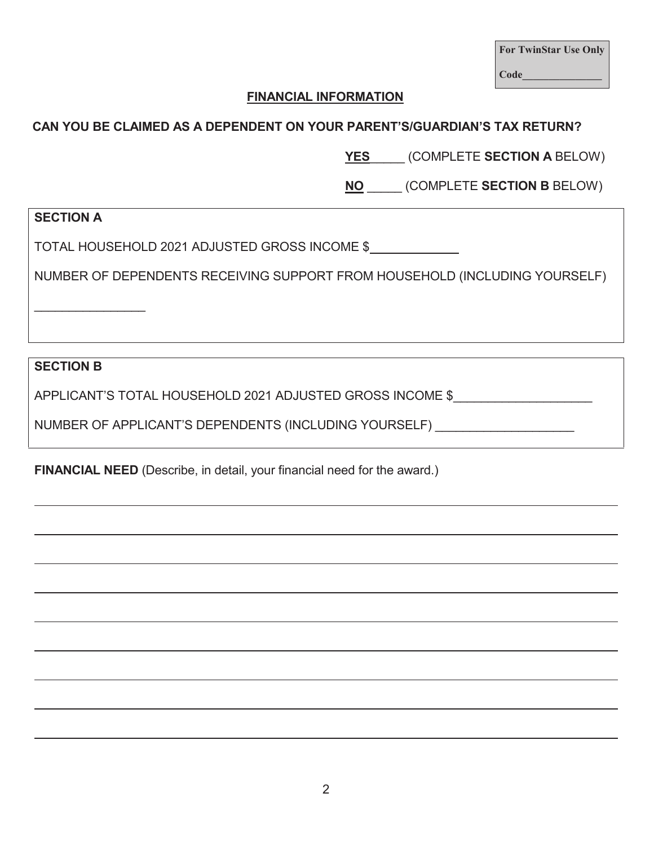|      | <b>For TwinStar Use Only</b> |  |
|------|------------------------------|--|
| Code |                              |  |

#### **FINANCIAL INFORMATION**

#### **CAN YOU BE CLAIMED AS A DEPENDENT ON YOUR PARENT'S/GUARDIAN'S TAX RETURN?**

**YES**\_\_\_\_\_ (COMPLETE **SECTION A** BELOW)

**NO** \_\_\_\_\_ (COMPLETE **SECTION B** BELOW)

#### **SECTION A**

TOTAL HOUSEHOLD 2021 ADJUSTED GROSS INCOME \$

NUMBER OF DEPENDENTS RECEIVING SUPPORT FROM HOUSEHOLD (INCLUDING YOURSELF)

**SECTION B** 

 $\overline{\phantom{a}}$ 

APPLICANT'S TOTAL HOUSEHOLD 2021 ADJUSTED GROSS INCOME \$

NUMBER OF APPLICANT'S DEPENDENTS (INCLUDING YOURSELF) \_\_\_\_\_\_\_\_\_\_\_\_\_\_\_\_\_\_\_\_\_\_\_\_\_\_

**FINANCIAL NEED** (Describe, in detail, your financial need for the award.)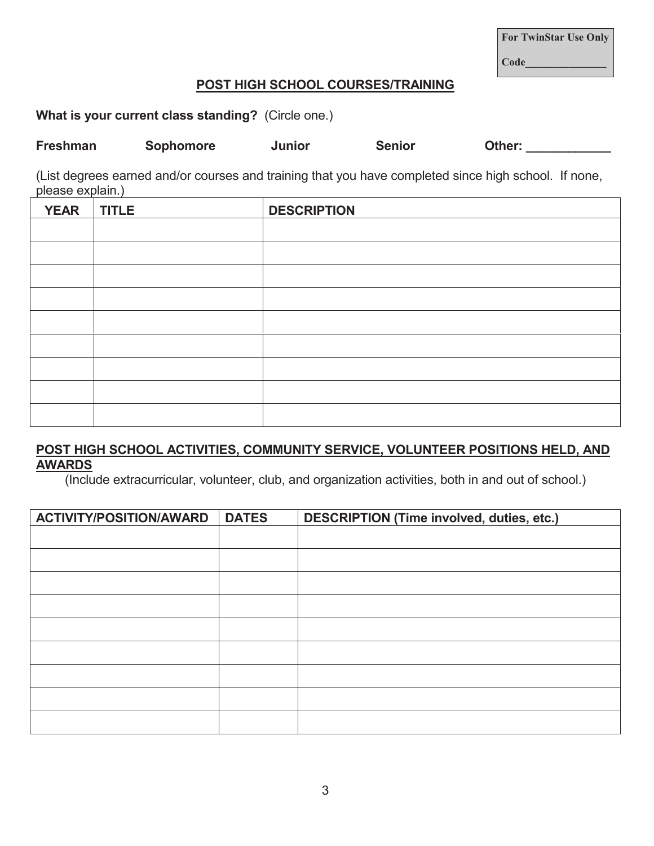3

**For TwinStar Use Only Code\_\_\_\_\_\_\_\_\_\_\_\_\_\_\_** 

#### **POST HIGH SCHOOL COURSES/TRAINING**

**What is your current class standing?** (Circle one.)

| <b>Freshman</b> | <b>Sophomore</b> | <b>Junior</b> | <b>Senior</b> | Other: |
|-----------------|------------------|---------------|---------------|--------|
|-----------------|------------------|---------------|---------------|--------|

(List degrees earned and/or courses and training that you have completed since high school. If none, please explain.)

| <b>YEAR</b> | <b>TITLE</b> | <b>DESCRIPTION</b> |
|-------------|--------------|--------------------|
|             |              |                    |
|             |              |                    |
|             |              |                    |
|             |              |                    |
|             |              |                    |
|             |              |                    |
|             |              |                    |
|             |              |                    |
|             |              |                    |

#### **POST HIGH SCHOOL ACTIVITIES, COMMUNITY SERVICE, VOLUNTEER POSITIONS HELD, AND AWARDS**

(Include extracurricular, volunteer, club, and organization activities, both in and out of school.)

| <b>ACTIVITY/POSITION/AWARD</b> | <b>DATES</b> | <b>DESCRIPTION (Time involved, duties, etc.)</b> |
|--------------------------------|--------------|--------------------------------------------------|
|                                |              |                                                  |
|                                |              |                                                  |
|                                |              |                                                  |
|                                |              |                                                  |
|                                |              |                                                  |
|                                |              |                                                  |
|                                |              |                                                  |
|                                |              |                                                  |
|                                |              |                                                  |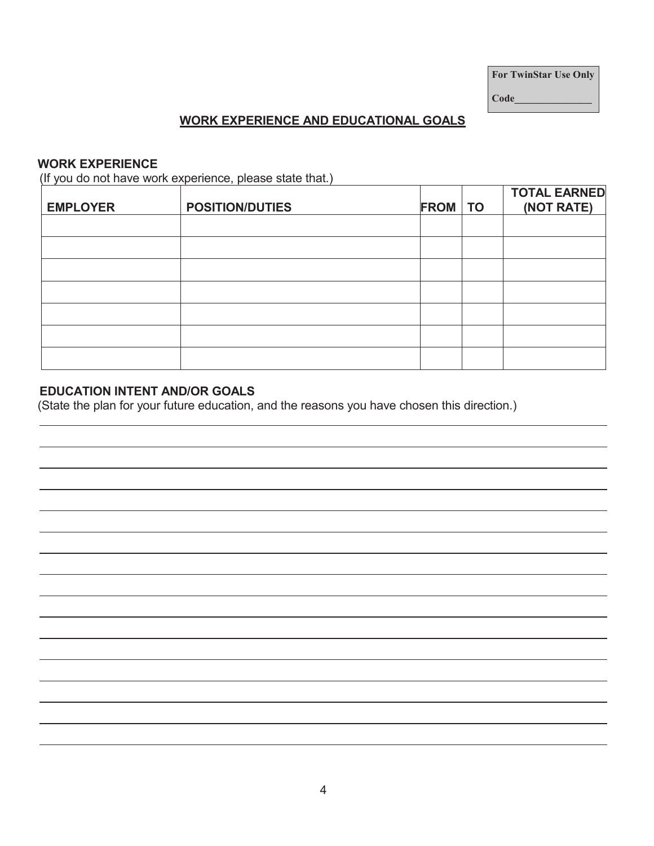**For TwinStar Use Only** 

**Code\_\_\_\_\_\_\_\_\_\_\_\_\_\_\_** 

#### **WORK EXPERIENCE AND EDUCATIONAL GOALS**

#### **WORK EXPERIENCE**

(If you do not have work experience, please state that.)

| <b>EMPLOYER</b> | <b>POSITION/DUTIES</b> | <b>FROM</b> TO | <b>TOTAL EARNED</b><br>(NOT RATE) |
|-----------------|------------------------|----------------|-----------------------------------|
|                 |                        |                |                                   |
|                 |                        |                |                                   |
|                 |                        |                |                                   |
|                 |                        |                |                                   |
|                 |                        |                |                                   |
|                 |                        |                |                                   |
|                 |                        |                |                                   |

#### **EDUCATION INTENT AND/OR GOALS**

(State the plan for your future education, and the reasons you have chosen this direction.)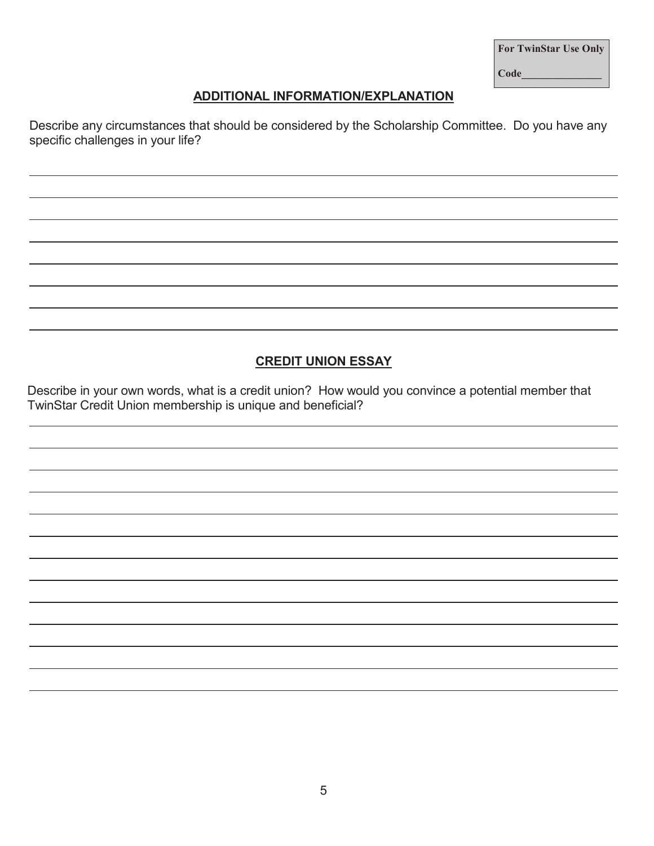| <b>For TwinStar Use Only</b> |  |
|------------------------------|--|
| Code                         |  |

## **ADDITIONAL INFORMATION/EXPLANATION**

Describe any circumstances that should be considered by the Scholarship Committee. Do you have any specific challenges in your life?

#### **CREDIT UNION ESSAY**

Describe in your own words, what is a credit union? How would you convince a potential member that TwinStar Credit Union membership is unique and beneficial?